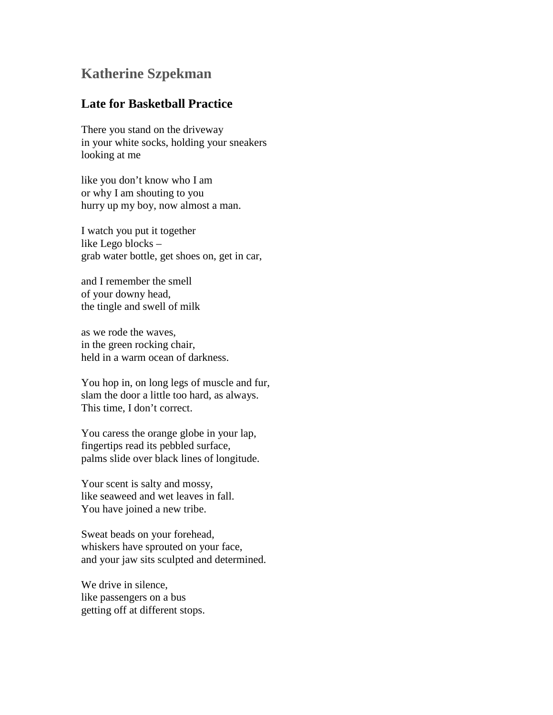## **Katherine Szpekman**

## **Late for Basketball Practice**

There you stand on the driveway in your white socks, holding your sneakers looking at me

like you don't know who I am or why I am shouting to you hurry up my boy, now almost a man.

I watch you put it together like Lego blocks – grab water bottle, get shoes on, get in car,

and I remember the smell of your downy head, the tingle and swell of milk

as we rode the waves, in the green rocking chair, held in a warm ocean of darkness.

You hop in, on long legs of muscle and fur, slam the door a little too hard, as always. This time, I don't correct.

You caress the orange globe in your lap, fingertips read its pebbled surface, palms slide over black lines of longitude.

Your scent is salty and mossy, like seaweed and wet leaves in fall. You have joined a new tribe.

Sweat beads on your forehead, whiskers have sprouted on your face, and your jaw sits sculpted and determined.

We drive in silence, like passengers on a bus getting off at different stops.